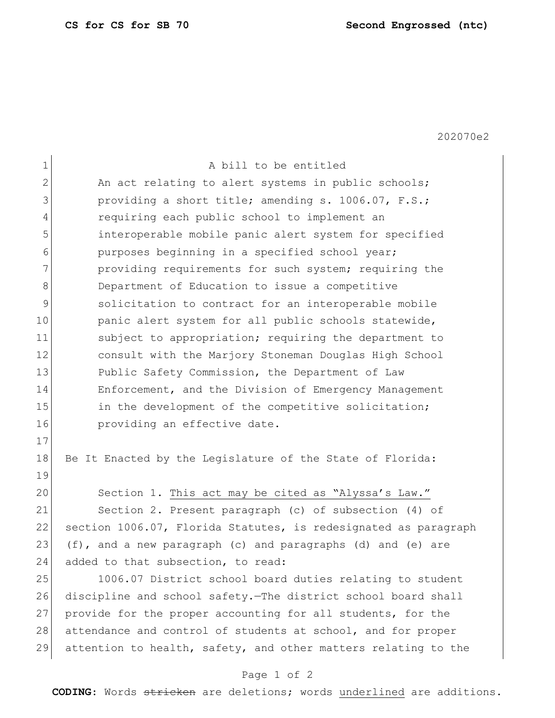202070e2

| $\mathbf 1$    | A bill to be entitled                                           |
|----------------|-----------------------------------------------------------------|
| $\overline{2}$ | An act relating to alert systems in public schools;             |
| 3              | providing a short title; amending s. 1006.07, F.S.;             |
| 4              | requiring each public school to implement an                    |
| 5              | interoperable mobile panic alert system for specified           |
| 6              | purposes beginning in a specified school year;                  |
| 7              | providing requirements for such system; requiring the           |
| 8              | Department of Education to issue a competitive                  |
| 9              | solicitation to contract for an interoperable mobile            |
| 10             | panic alert system for all public schools statewide,            |
| 11             | subject to appropriation; requiring the department to           |
| 12             | consult with the Marjory Stoneman Douglas High School           |
| 13             | Public Safety Commission, the Department of Law                 |
| 14             | Enforcement, and the Division of Emergency Management           |
| 15             | in the development of the competitive solicitation;             |
| 16             | providing an effective date.                                    |
| 17             |                                                                 |
| 18             | Be It Enacted by the Legislature of the State of Florida:       |
| 19             |                                                                 |
| 20             | Section 1. This act may be cited as "Alyssa's Law."             |
| 21             | Section 2. Present paragraph (c) of subsection (4) of           |
| 22             | section 1006.07, Florida Statutes, is redesignated as paragraph |
| 23             | (f), and a new paragraph (c) and paragraphs (d) and (e) are     |
| 24             | added to that subsection, to read:                              |
| 25             | 1006.07 District school board duties relating to student        |
| 26             | discipline and school safety. The district school board shall   |
| 27             | provide for the proper accounting for all students, for the     |
| 28             | attendance and control of students at school, and for proper    |
| 29             | attention to health, safety, and other matters relating to the  |

## Page 1 of 2

**CODING**: Words stricken are deletions; words underlined are additions.